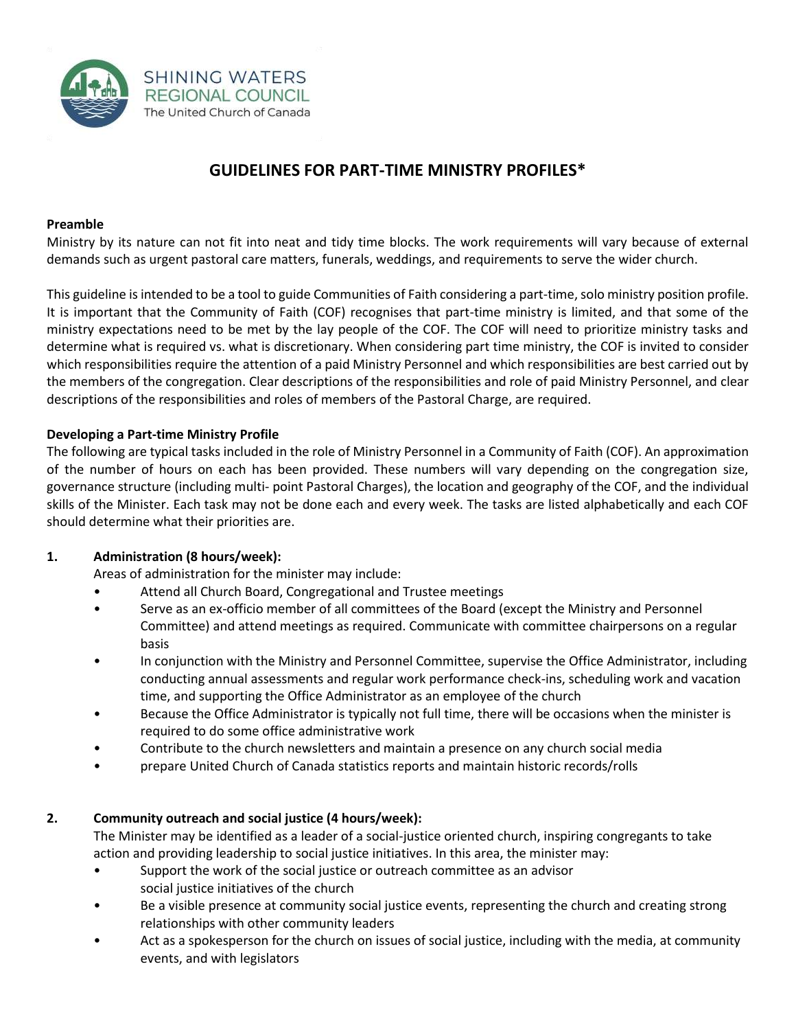

# **GUIDELINES FOR PART-TIME MINISTRY PROFILES\***

## **Preamble**

Ministry by its nature can not fit into neat and tidy time blocks. The work requirements will vary because of external demands such as urgent pastoral care matters, funerals, weddings, and requirements to serve the wider church.

This guideline is intended to be a tool to guide Communities of Faith considering a part-time, solo ministry position profile. It is important that the Community of Faith (COF) recognises that part-time ministry is limited, and that some of the ministry expectations need to be met by the lay people of the COF. The COF will need to prioritize ministry tasks and determine what is required vs. what is discretionary. When considering part time ministry, the COF is invited to consider which responsibilities require the attention of a paid Ministry Personnel and which responsibilities are best carried out by the members of the congregation. Clear descriptions of the responsibilities and role of paid Ministry Personnel, and clear descriptions of the responsibilities and roles of members of the Pastoral Charge, are required.

# **Developing a Part-time Ministry Profile**

The following are typical tasks included in the role of Ministry Personnel in a Community of Faith (COF). An approximation of the number of hours on each has been provided. These numbers will vary depending on the congregation size, governance structure (including multi- point Pastoral Charges), the location and geography of the COF, and the individual skills of the Minister. Each task may not be done each and every week. The tasks are listed alphabetically and each COF should determine what their priorities are.

# **1. Administration (8 hours/week):**

Areas of administration for the minister may include:

- Attend all Church Board, Congregational and Trustee meetings
- Serve as an ex-officio member of all committees of the Board (except the Ministry and Personnel Committee) and attend meetings as required. Communicate with committee chairpersons on a regular basis
- In conjunction with the Ministry and Personnel Committee, supervise the Office Administrator, including conducting annual assessments and regular work performance check-ins, scheduling work and vacation time, and supporting the Office Administrator as an employee of the church
- Because the Office Administrator is typically not full time, there will be occasions when the minister is required to do some office administrative work
- Contribute to the church newsletters and maintain a presence on any church social media
- prepare United Church of Canada statistics reports and maintain historic records/rolls

# **2. Community outreach and social justice (4 hours/week):**

The Minister may be identified as a leader of a social-justice oriented church, inspiring congregants to take action and providing leadership to social justice initiatives. In this area, the minister may:

- Support the work of the social justice or outreach committee as an advisor social justice initiatives of the church
- Be a visible presence at community social justice events, representing the church and creating strong relationships with other community leaders
- Act as a spokesperson for the church on issues of social justice, including with the media, at community events, and with legislators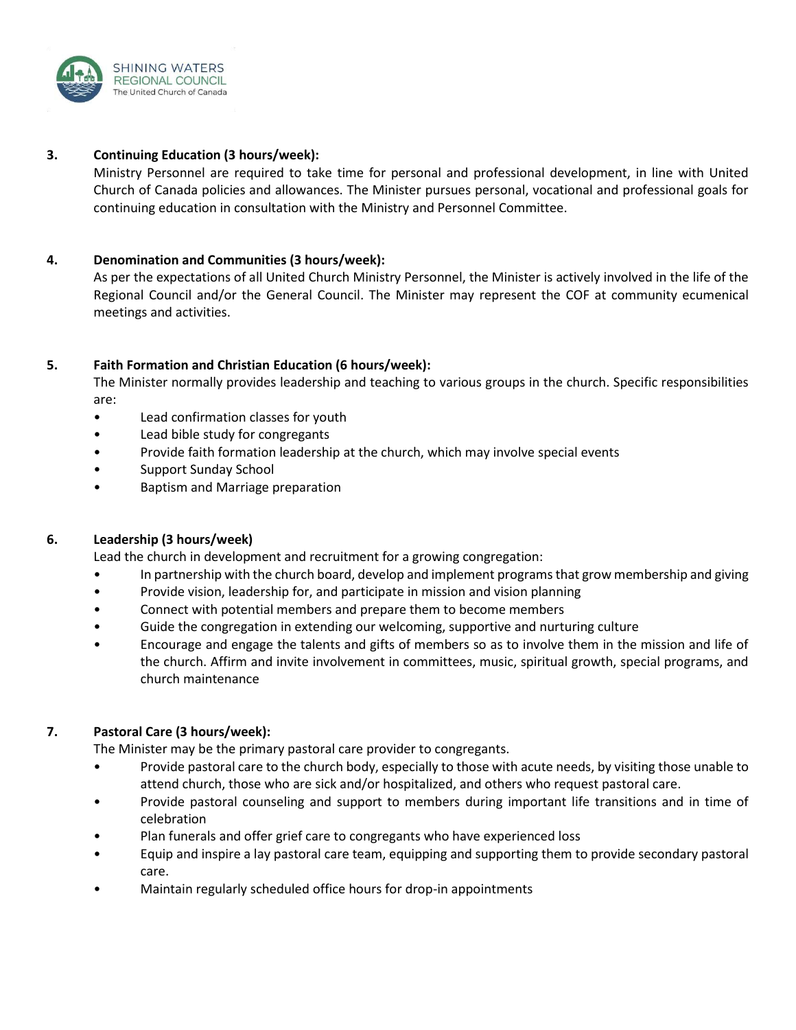

#### **3. Continuing Education (3 hours/week):**

Ministry Personnel are required to take time for personal and professional development, in line with United Church of Canada policies and allowances. The Minister pursues personal, vocational and professional goals for continuing education in consultation with the Ministry and Personnel Committee.

#### **4. Denomination and Communities (3 hours/week):**

As per the expectations of all United Church Ministry Personnel, the Minister is actively involved in the life of the Regional Council and/or the General Council. The Minister may represent the COF at community ecumenical meetings and activities.

## **5. Faith Formation and Christian Education (6 hours/week):**

The Minister normally provides leadership and teaching to various groups in the church. Specific responsibilities are:

- Lead confirmation classes for youth
- Lead bible study for congregants
- Provide faith formation leadership at the church, which may involve special events
- Support Sunday School
- Baptism and Marriage preparation

## **6. Leadership (3 hours/week)**

Lead the church in development and recruitment for a growing congregation:

- In partnership with the church board, develop and implement programs that grow membership and giving
- Provide vision, leadership for, and participate in mission and vision planning
- Connect with potential members and prepare them to become members
- Guide the congregation in extending our welcoming, supportive and nurturing culture
- Encourage and engage the talents and gifts of members so as to involve them in the mission and life of the church. Affirm and invite involvement in committees, music, spiritual growth, special programs, and church maintenance

## **7. Pastoral Care (3 hours/week):**

The Minister may be the primary pastoral care provider to congregants.

- Provide pastoral care to the church body, especially to those with acute needs, by visiting those unable to attend church, those who are sick and/or hospitalized, and others who request pastoral care.
- Provide pastoral counseling and support to members during important life transitions and in time of celebration
- Plan funerals and offer grief care to congregants who have experienced loss
- Equip and inspire a lay pastoral care team, equipping and supporting them to provide secondary pastoral care.
- Maintain regularly scheduled office hours for drop-in appointments